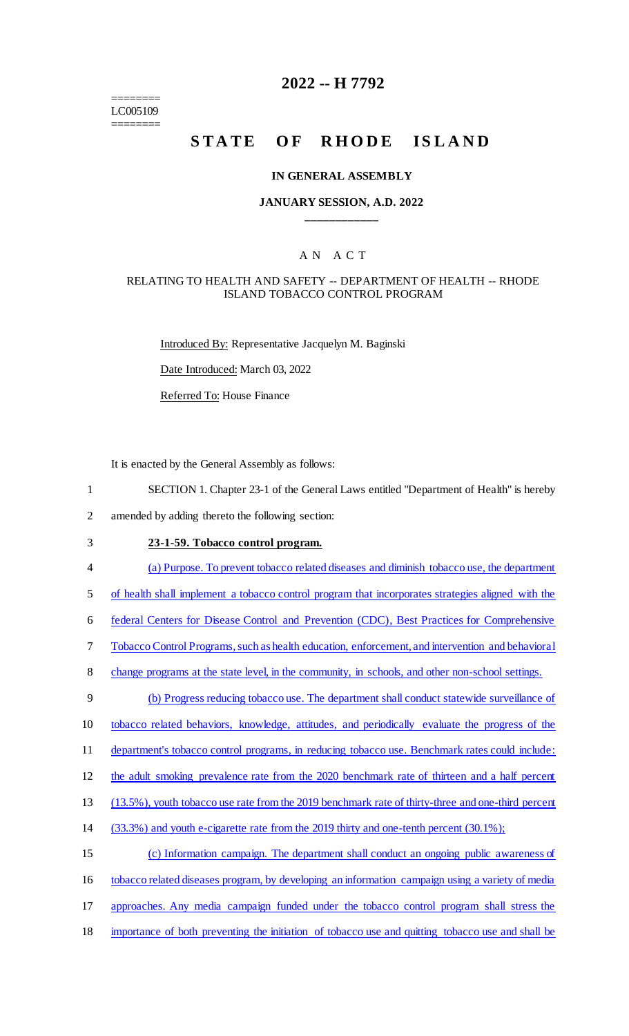======== LC005109 ========

## **2022 -- H 7792**

# STATE OF RHODE ISLAND

#### **IN GENERAL ASSEMBLY**

#### **JANUARY SESSION, A.D. 2022 \_\_\_\_\_\_\_\_\_\_\_\_**

#### A N A C T

#### RELATING TO HEALTH AND SAFETY -- DEPARTMENT OF HEALTH -- RHODE ISLAND TOBACCO CONTROL PROGRAM

Introduced By: Representative Jacquelyn M. Baginski

Date Introduced: March 03, 2022

Referred To: House Finance

It is enacted by the General Assembly as follows:

- 1 SECTION 1. Chapter 23-1 of the General Laws entitled "Department of Health" is hereby
- 2 amended by adding thereto the following section:
- 3 **23-1-59. Tobacco control program.**
- 4 (a) Purpose. To prevent tobacco related diseases and diminish tobacco use, the department
- 5 of health shall implement a tobacco control program that incorporates strategies aligned with the
- 6 federal Centers for Disease Control and Prevention (CDC), Best Practices for Comprehensive
- 7 Tobacco Control Programs,such as health education, enforcement, and intervention and behavioral
- 8 change programs at the state level, in the community, in schools, and other non-school settings.

9 (b) Progress reducing tobacco use. The department shall conduct statewide surveillance of

- 10 tobacco related behaviors, knowledge, attitudes, and periodically evaluate the progress of the
- 11 department's tobacco control programs, in reducing tobacco use. Benchmark rates could include:
- 12 the adult smoking prevalence rate from the 2020 benchmark rate of thirteen and a half percent
- 13 (13.5%), youth tobacco use rate from the 2019 benchmark rate of thirty-three and one-third percent
- 14 (33.3%) and youth e-cigarette rate from the 2019 thirty and one-tenth percent (30.1%);
- 15 (c) Information campaign. The department shall conduct an ongoing public awareness of
- 16 tobacco related diseases program, by developing an information campaign using a variety of media
- 17 approaches. Any media campaign funded under the tobacco control program shall stress the
- 18 importance of both preventing the initiation of tobacco use and quitting tobacco use and shall be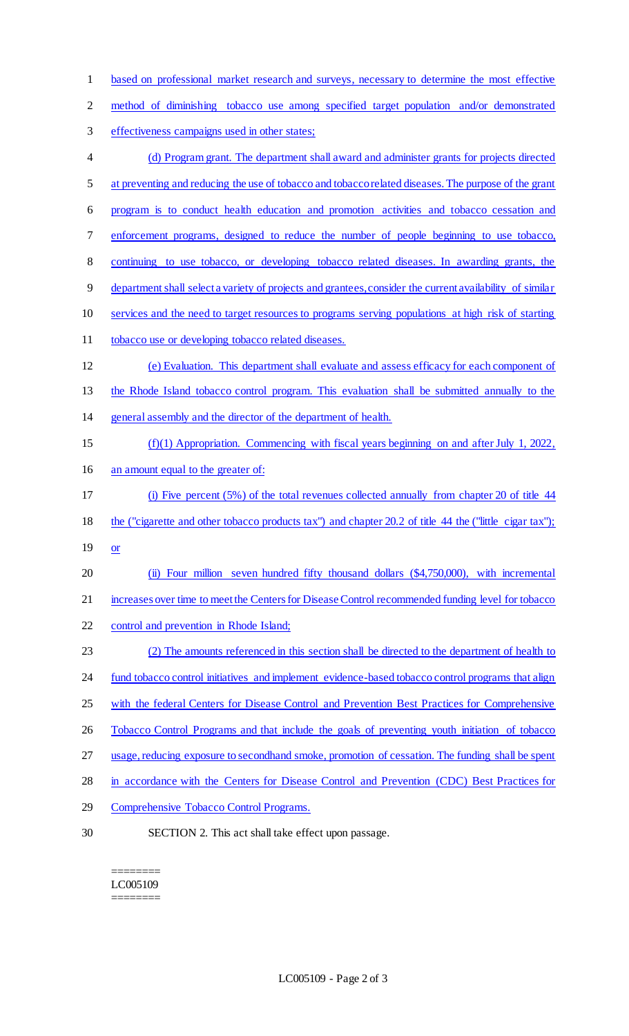method of diminishing tobacco use among specified target population and/or demonstrated effectiveness campaigns used in other states; (d) Program grant. The department shall award and administer grants for projects directed at preventing and reducing the use of tobacco and tobacco related diseases. The purpose of the grant program is to conduct health education and promotion activities and tobacco cessation and enforcement programs, designed to reduce the number of people beginning to use tobacco, continuing to use tobacco, or developing tobacco related diseases. In awarding grants, the department shall select a variety of projects and grantees, consider the current availability of similar services and the need to target resources to programs serving populations at high risk of starting 11 tobacco use or developing tobacco related diseases. (e) Evaluation. This department shall evaluate and assess efficacy for each component of the Rhode Island tobacco control program. This evaluation shall be submitted annually to the general assembly and the director of the department of health. (f)(1) Appropriation. Commencing with fiscal years beginning on and after July 1, 2022, an amount equal to the greater of: (i) Five percent (5%) of the total revenues collected annually from chapter 20 of title 44 18 the ("cigarette and other tobacco products tax") and chapter 20.2 of title 44 the ("little cigar tax"); 19 <u>or</u> (ii) Four million seven hundred fifty thousand dollars (\$4,750,000), with incremental 21 increases over time to meet the Centers for Disease Control recommended funding level for tobacco control and prevention in Rhode Island; (2) The amounts referenced in this section shall be directed to the department of health to 24 fund tobacco control initiatives and implement evidence-based tobacco control programs that align 25 with the federal Centers for Disease Control and Prevention Best Practices for Comprehensive Tobacco Control Programs and that include the goals of preventing youth initiation of tobacco usage, reducing exposure to secondhand smoke, promotion of cessation. The funding shall be spent

based on professional market research and surveys, necessary to determine the most effective

- in accordance with the Centers for Disease Control and Prevention (CDC) Best Practices for
- Comprehensive Tobacco Control Programs.
- SECTION 2. This act shall take effect upon passage.

#### ======== LC005109 ========